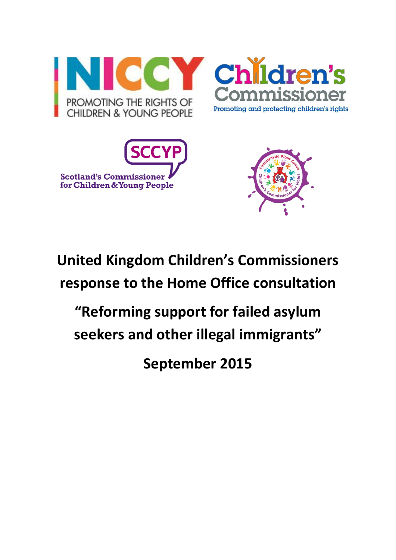

# **United Kingdom Children's Commissioners response to the Home Office consultation**

# **"Reforming support for failed asylum seekers and other illegal immigrants"**

**September 2015**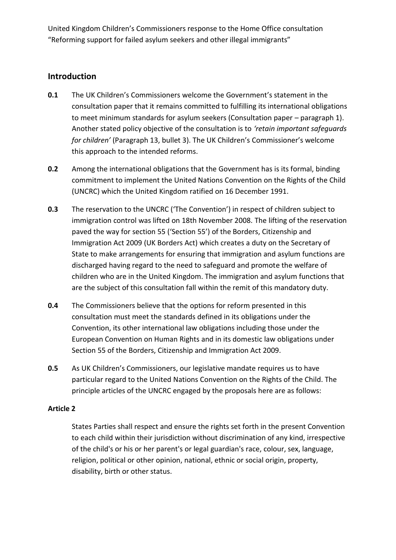## **Introduction**

- **0.1** The UK Children's Commissioners welcome the Government's statement in the consultation paper that it remains committed to fulfilling its international obligations to meet minimum standards for asylum seekers (Consultation paper – paragraph 1). Another stated policy objective of the consultation is to *'retain important safeguards for children'* (Paragraph 13, bullet 3). The UK Children's Commissioner's welcome this approach to the intended reforms.
- **0.2** Among the international obligations that the Government has is its formal, binding commitment to implement the United Nations Convention on the Rights of the Child (UNCRC) which the United Kingdom ratified on 16 December 1991.
- **0.3** The reservation to the UNCRC ('The Convention') in respect of children subject to immigration control was lifted on 18th November 2008. The lifting of the reservation paved the way for section 55 ('Section 55') of the Borders, Citizenship and Immigration Act 2009 (UK Borders Act) which creates a duty on the Secretary of State to make arrangements for ensuring that immigration and asylum functions are discharged having regard to the need to safeguard and promote the welfare of children who are in the United Kingdom. The immigration and asylum functions that are the subject of this consultation fall within the remit of this mandatory duty.
- **0.4** The Commissioners believe that the options for reform presented in this consultation must meet the standards defined in its obligations under the Convention, its other international law obligations including those under the European Convention on Human Rights and in its domestic law obligations under Section 55 of the Borders, Citizenship and Immigration Act 2009.
- **0.5** As UK Children's Commissioners, our legislative mandate requires us to have particular regard to the United Nations Convention on the Rights of the Child. The principle articles of the UNCRC engaged by the proposals here are as follows:

## **Article 2**

States Parties shall respect and ensure the rights set forth in the present Convention to each child within their jurisdiction without discrimination of any kind, irrespective of the child's or his or her parent's or legal guardian's race, colour, sex, language, religion, political or other opinion, national, ethnic or social origin, property, disability, birth or other status.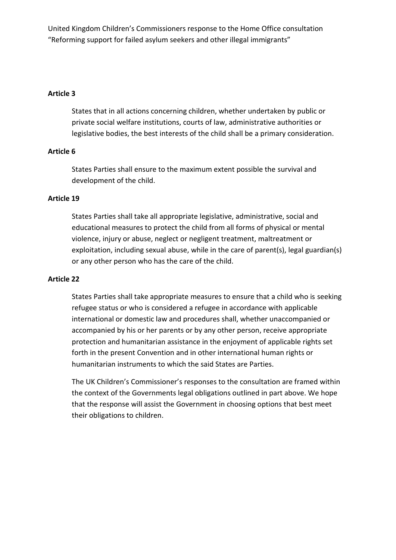#### **Article 3**

States that in all actions concerning children, whether undertaken by public or private social welfare institutions, courts of law, administrative authorities or legislative bodies, the best interests of the child shall be a primary consideration.

#### **Article 6**

States Parties shall ensure to the maximum extent possible the survival and development of the child.

#### **Article 19**

States Parties shall take all appropriate legislative, administrative, social and educational measures to protect the child from all forms of physical or mental violence, injury or abuse, neglect or negligent treatment, maltreatment or exploitation, including sexual abuse, while in the care of parent(s), legal guardian(s) or any other person who has the care of the child.

#### **Article 22**

States Parties shall take appropriate measures to ensure that a child who is seeking refugee status or who is considered a refugee in accordance with applicable international or domestic law and procedures shall, whether unaccompanied or accompanied by his or her parents or by any other person, receive appropriate protection and humanitarian assistance in the enjoyment of applicable rights set forth in the present Convention and in other international human rights or humanitarian instruments to which the said States are Parties.

The UK Children's Commissioner's responses to the consultation are framed within the context of the Governments legal obligations outlined in part above. We hope that the response will assist the Government in choosing options that best meet their obligations to children.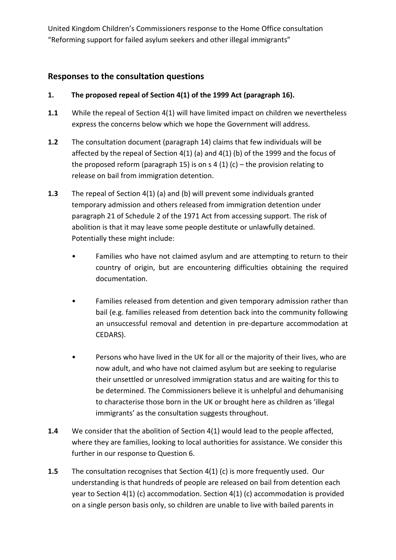# **Responses to the consultation questions**

- **1. The proposed repeal of Section 4(1) of the 1999 Act (paragraph 16).**
- **1.1** While the repeal of Section 4(1) will have limited impact on children we nevertheless express the concerns below which we hope the Government will address.
- **1.2** The consultation document (paragraph 14) claims that few individuals will be affected by the repeal of Section 4(1) (a) and 4(1) (b) of the 1999 and the focus of the proposed reform (paragraph 15) is on  $s$  4 (1) (c) – the provision relating to release on bail from immigration detention.
- **1.3** The repeal of Section 4(1) (a) and (b) will prevent some individuals granted temporary admission and others released from immigration detention under paragraph 21 of Schedule 2 of the 1971 Act from accessing support. The risk of abolition is that it may leave some people destitute or unlawfully detained. Potentially these might include:
	- Families who have not claimed asylum and are attempting to return to their country of origin, but are encountering difficulties obtaining the required documentation.
	- Families released from detention and given temporary admission rather than bail (e.g. families released from detention back into the community following an unsuccessful removal and detention in pre-departure accommodation at CEDARS).
	- Persons who have lived in the UK for all or the majority of their lives, who are now adult, and who have not claimed asylum but are seeking to regularise their unsettled or unresolved immigration status and are waiting for this to be determined. The Commissioners believe it is unhelpful and dehumanising to characterise those born in the UK or brought here as children as 'illegal immigrants' as the consultation suggests throughout.
- **1.4** We consider that the abolition of Section 4(1) would lead to the people affected, where they are families, looking to local authorities for assistance. We consider this further in our response to Question 6.
- **1.5** The consultation recognises that Section 4(1) (c) is more frequently used. Our understanding is that hundreds of people are released on bail from detention each year to Section 4(1) (c) accommodation. Section 4(1) (c) accommodation is provided on a single person basis only, so children are unable to live with bailed parents in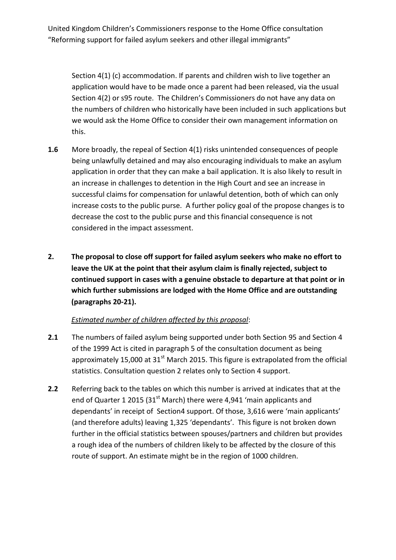Section 4(1) (c) accommodation. If parents and children wish to live together an application would have to be made once a parent had been released, via the usual Section 4(2) or s95 route. The Children's Commissioners do not have any data on the numbers of children who historically have been included in such applications but we would ask the Home Office to consider their own management information on this.

- **1.6** More broadly, the repeal of Section 4(1) risks unintended consequences of people being unlawfully detained and may also encouraging individuals to make an asylum application in order that they can make a bail application. It is also likely to result in an increase in challenges to detention in the High Court and see an increase in successful claims for compensation for unlawful detention, both of which can only increase costs to the public purse. A further policy goal of the propose changes is to decrease the cost to the public purse and this financial consequence is not considered in the impact assessment.
- **2. The proposal to close off support for failed asylum seekers who make no effort to leave the UK at the point that their asylum claim is finally rejected, subject to continued support in cases with a genuine obstacle to departure at that point or in which further submissions are lodged with the Home Office and are outstanding (paragraphs 20-21).**

## *Estimated number of children affected by this proposal*:

- **2.1** The numbers of failed asylum being supported under both Section 95 and Section 4 of the 1999 Act is cited in paragraph 5 of the consultation document as being approximately 15,000 at  $31<sup>st</sup>$  March 2015. This figure is extrapolated from the official statistics. Consultation question 2 relates only to Section 4 support.
- **2.2** Referring back to the tables on which this number is arrived at indicates that at the end of Quarter 1 2015 (31 $\mathrm{^{st}}$  March) there were 4,941 'main applicants and dependants' in receipt of Section4 support. Of those, 3,616 were 'main applicants' (and therefore adults) leaving 1,325 'dependants'. This figure is not broken down further in the official statistics between spouses/partners and children but provides a rough idea of the numbers of children likely to be affected by the closure of this route of support. An estimate might be in the region of 1000 children.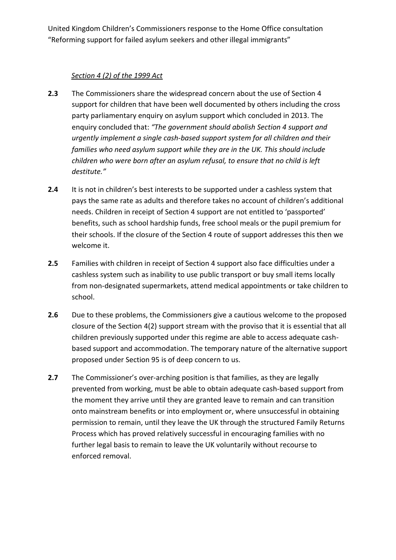### *Section 4 (2) of the 1999 Act*

- **2.3** The Commissioners share the widespread concern about the use of Section 4 support for children that have been well documented by others including the cross party parliamentary enquiry on asylum support which concluded in 2013. The enquiry concluded that: *"The government should abolish Section 4 support and urgently implement a single cash-based support system for all children and their families who need asylum support while they are in the UK. This should include children who were born after an asylum refusal, to ensure that no child is left destitute."*
- **2.4** It is not in children's best interests to be supported under a cashless system that pays the same rate as adults and therefore takes no account of children's additional needs. Children in receipt of Section 4 support are not entitled to 'passported' benefits, such as school hardship funds, free school meals or the pupil premium for their schools. If the closure of the Section 4 route of support addresses this then we welcome it.
- **2.5** Families with children in receipt of Section 4 support also face difficulties under a cashless system such as inability to use public transport or buy small items locally from non-designated supermarkets, attend medical appointments or take children to school.
- **2.6** Due to these problems, the Commissioners give a cautious welcome to the proposed closure of the Section 4(2) support stream with the proviso that it is essential that all children previously supported under this regime are able to access adequate cashbased support and accommodation. The temporary nature of the alternative support proposed under Section 95 is of deep concern to us.
- **2.7** The Commissioner's over-arching position is that families, as they are legally prevented from working, must be able to obtain adequate cash-based support from the moment they arrive until they are granted leave to remain and can transition onto mainstream benefits or into employment or, where unsuccessful in obtaining permission to remain, until they leave the UK through the structured Family Returns Process which has proved relatively successful in encouraging families with no further legal basis to remain to leave the UK voluntarily without recourse to enforced removal.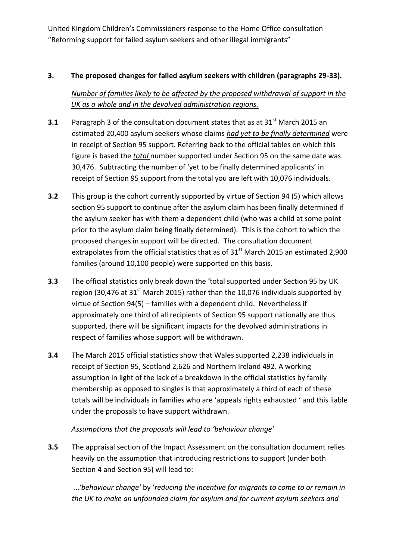## **3. The proposed changes for failed asylum seekers with children (paragraphs 29-33).**

*Number of families likely to be affected by the proposed withdrawal of support in the UK as a whole and in the devolved administration regions.*

- **3.1** Paragraph 3 of the consultation document states that as at 31<sup>st</sup> March 2015 an estimated 20,400 asylum seekers whose claims *had yet to be finally determined* were in receipt of Section 95 support. Referring back to the official tables on which this figure is based the *total* number supported under Section 95 on the same date was 30,476. Subtracting the number of 'yet to be finally determined applicants' in receipt of Section 95 support from the total you are left with 10,076 individuals.
- **3.2** This group is the cohort currently supported by virtue of Section 94 (5) which allows section 95 support to continue after the asylum claim has been finally determined if the asylum seeker has with them a dependent child (who was a child at some point prior to the asylum claim being finally determined). This is the cohort to which the proposed changes in support will be directed. The consultation document extrapolates from the official statistics that as of  $31<sup>st</sup>$  March 2015 an estimated 2,900 families (around 10,100 people) were supported on this basis.
- **3.3** The official statistics only break down the 'total supported under Section 95 by UK region (30,476 at 31<sup>st</sup> March 2015) rather than the 10,076 individuals supported by virtue of Section 94(5) – families with a dependent child. Nevertheless if approximately one third of all recipients of Section 95 support nationally are thus supported, there will be significant impacts for the devolved administrations in respect of families whose support will be withdrawn.
- **3.4** The March 2015 official statistics show that Wales supported 2,238 individuals in receipt of Section 95, Scotland 2,626 and Northern Ireland 492. A working assumption in light of the lack of a breakdown in the official statistics by family membership as opposed to singles is that approximately a third of each of these totals will be individuals in families who are 'appeals rights exhausted ' and this liable under the proposals to have support withdrawn.

## *Assumptions that the proposals will lead to 'behaviour change'*

**3.5** The appraisal section of the Impact Assessment on the consultation document relies heavily on the assumption that introducing restrictions to support (under both Section 4 and Section 95) will lead to:

…'*behaviour change'* by '*reducing the incentive for migrants to come to or remain in the UK to make an unfounded claim for asylum and for current asylum seekers and*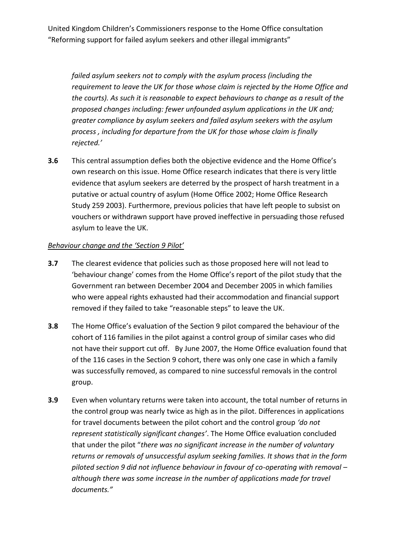*failed asylum seekers not to comply with the asylum process (including the requirement to leave the UK for those whose claim is rejected by the Home Office and the courts). As such it is reasonable to expect behaviours to change as a result of the proposed changes including: fewer unfounded asylum applications in the UK and; greater compliance by asylum seekers and failed asylum seekers with the asylum process , including for departure from the UK for those whose claim is finally rejected.'*

**3.6** This central assumption defies both the objective evidence and the Home Office's own research on this issue. Home Office research indicates that there is very little evidence that asylum seekers are deterred by the prospect of harsh treatment in a putative or actual country of asylum (Home Office 2002; Home Office Research Study 259 2003). Furthermore, previous policies that have left people to subsist on vouchers or withdrawn support have proved ineffective in persuading those refused asylum to leave the UK.

#### *Behaviour change and the 'Section 9 Pilot'*

- **3.7** The clearest evidence that policies such as those proposed here will not lead to 'behaviour change' comes from the Home Office's report of the pilot study that the Government ran between December 2004 and December 2005 in which families who were appeal rights exhausted had their accommodation and financial support removed if they failed to take "reasonable steps" to leave the UK.
- **3.8** The Home Office's evaluation of the Section 9 pilot compared the behaviour of the cohort of 116 families in the pilot against a control group of similar cases who did not have their support cut off. By June 2007, the Home Office evaluation found that of the 116 cases in the Section 9 cohort, there was only one case in which a family was successfully removed, as compared to nine successful removals in the control group.
- **3.9** Even when voluntary returns were taken into account, the total number of returns in the control group was nearly twice as high as in the pilot. Differences in applications for travel documents between the pilot cohort and the control group *'do not represent statistically significant changes'*. The Home Office evaluation concluded that under the pilot "*there was no significant increase in the number of voluntary returns or removals of unsuccessful asylum seeking families. It shows that in the form piloted section 9 did not influence behaviour in favour of co-operating with removal – although there was some increase in the number of applications made for travel documents."*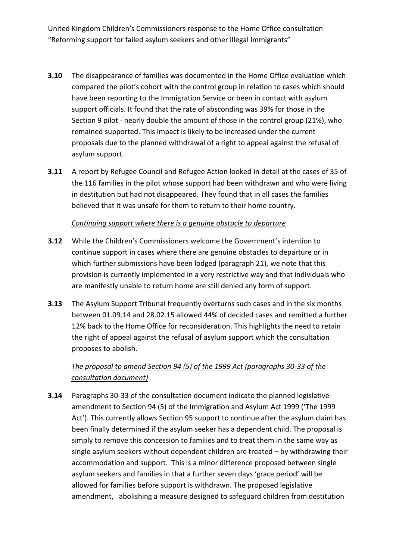- **3.10** The disappearance of families was documented in the Home Office evaluation which compared the pilot's cohort with the control group in relation to cases which should have been reporting to the Immigration Service or been in contact with asylum support officials. It found that the rate of absconding was 39% for those in the Section 9 pilot - nearly double the amount of those in the control group (21%), who remained supported. This impact is likely to be increased under the current proposals due to the planned withdrawal of a right to appeal against the refusal of asylum support.
- **3.11** A report by Refugee Council and Refugee Action looked in detail at the cases of 35 of the 116 families in the pilot whose support had been withdrawn and who were living in destitution but had not disappeared. They found that in all cases the families believed that it was unsafe for them to return to their home country.

#### *Continuing support where there is a genuine obstacle to departure*

- **3.12** While the Children's Commissioners welcome the Government's intention to continue support in cases where there are genuine obstacles to departure or in which further submissions have been lodged (paragraph 21), we note that this provision is currently implemented in a very restrictive way and that individuals who are manifestly unable to return home are still denied any form of support.
- **3.13** The Asylum Support Tribunal frequently overturns such cases and in the six months between 01.09.14 and 28.02.15 allowed 44% of decided cases and remitted a further 12% back to the Home Office for reconsideration. This highlights the need to retain the right of appeal against the refusal of asylum support which the consultation proposes to abolish.

# *The proposal to amend Section 94 (5) of the 1999 Act (paragraphs 30-33 of the consultation document)*

**3.14** Paragraphs 30-33 of the consultation document indicate the planned legislative amendment to Section 94 (5) of the Immigration and Asylum Act 1999 ('The 1999 Act'). This currently allows Section 95 support to continue after the asylum claim has been finally determined if the asylum seeker has a dependent child. The proposal is simply to remove this concession to families and to treat them in the same way as single asylum seekers without dependent children are treated – by withdrawing their accommodation and support. This is a minor difference proposed between single asylum seekers and families in that a further seven days 'grace period' will be allowed for families before support is withdrawn. The proposed legislative amendment, abolishing a measure designed to safeguard children from destitution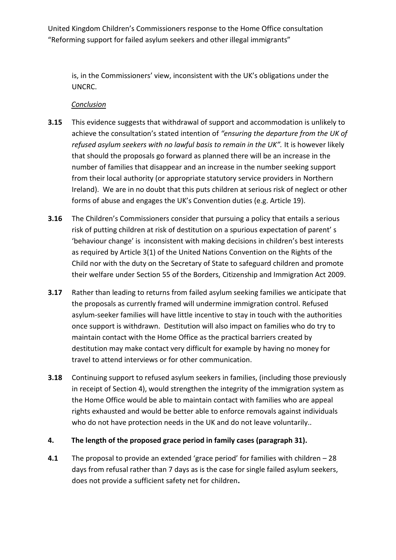is, in the Commissioners' view, inconsistent with the UK's obligations under the UNCRC.

### *Conclusion*

- **3.15** This evidence suggests that withdrawal of support and accommodation is unlikely to achieve the consultation's stated intention of *"ensuring the departure from the UK of refused asylum seekers with no lawful basis to remain in the UK".* It is however likely that should the proposals go forward as planned there will be an increase in the number of families that disappear and an increase in the number seeking support from their local authority (or appropriate statutory service providers in Northern Ireland). We are in no doubt that this puts children at serious risk of neglect or other forms of abuse and engages the UK's Convention duties (e.g. Article 19).
- **3.16** The Children's Commissioners consider that pursuing a policy that entails a serious risk of putting children at risk of destitution on a spurious expectation of parent' s 'behaviour change' is inconsistent with making decisions in children's best interests as required by Article 3(1) of the United Nations Convention on the Rights of the Child nor with the duty on the Secretary of State to safeguard children and promote their welfare under Section 55 of the Borders, Citizenship and Immigration Act 2009.
- **3.17** Rather than leading to returns from failed asylum seeking families we anticipate that the proposals as currently framed will undermine immigration control. Refused asylum-seeker families will have little incentive to stay in touch with the authorities once support is withdrawn. Destitution will also impact on families who do try to maintain contact with the Home Office as the practical barriers created by destitution may make contact very difficult for example by having no money for travel to attend interviews or for other communication.
- **3.18** Continuing support to refused asylum seekers in families, (including those previously in receipt of Section 4), would strengthen the integrity of the immigration system as the Home Office would be able to maintain contact with families who are appeal rights exhausted and would be better able to enforce removals against individuals who do not have protection needs in the UK and do not leave voluntarily..

## **4. The length of the proposed grace period in family cases (paragraph 31).**

**4.1** The proposal to provide an extended 'grace period' for families with children – 28 days from refusal rather than 7 days as is the case for single failed asylum seekers, does not provide a sufficient safety net for children**.**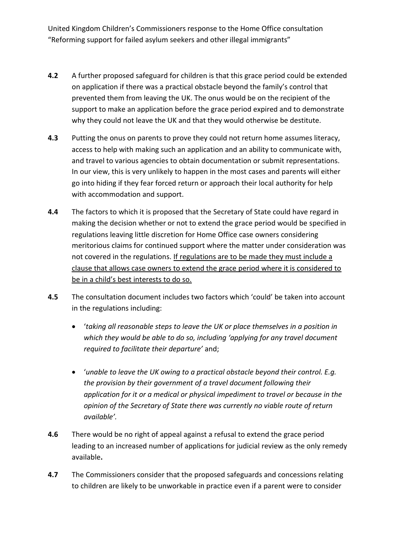- **4.2** A further proposed safeguard for children is that this grace period could be extended on application if there was a practical obstacle beyond the family's control that prevented them from leaving the UK. The onus would be on the recipient of the support to make an application before the grace period expired and to demonstrate why they could not leave the UK and that they would otherwise be destitute.
- **4.3** Putting the onus on parents to prove they could not return home assumes literacy, access to help with making such an application and an ability to communicate with, and travel to various agencies to obtain documentation or submit representations. In our view, this is very unlikely to happen in the most cases and parents will either go into hiding if they fear forced return or approach their local authority for help with accommodation and support.
- **4.4** The factors to which it is proposed that the Secretary of State could have regard in making the decision whether or not to extend the grace period would be specified in regulations leaving little discretion for Home Office case owners considering meritorious claims for continued support where the matter under consideration was not covered in the regulations. If regulations are to be made they must include a clause that allows case owners to extend the grace period where it is considered to be in a child's best interests to do so.
- **4.5** The consultation document includes two factors which 'could' be taken into account in the regulations including:
	- '*taking all reasonable steps to leave the UK or place themselves in a position in which they would be able to do so, including 'applying for any travel document required to facilitate their departure'* and;
	- '*unable to leave the UK owing to a practical obstacle beyond their control. E.g. the provision by their government of a travel document following their application for it or a medical or physical impediment to travel or because in the opinion of the Secretary of State there was currently no viable route of return available'.*
- **4.6** There would be no right of appeal against a refusal to extend the grace period leading to an increased number of applications for judicial review as the only remedy available**.**
- **4.7** The Commissioners consider that the proposed safeguards and concessions relating to children are likely to be unworkable in practice even if a parent were to consider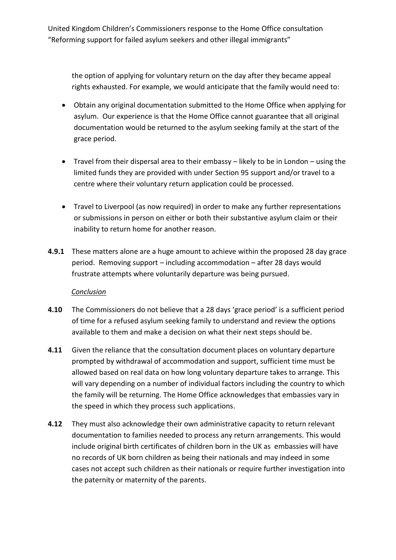the option of applying for voluntary return on the day after they became appeal rights exhausted. For example, we would anticipate that the family would need to:

- Obtain any original documentation submitted to the Home Office when applying for asylum. Our experience is that the Home Office cannot guarantee that all original documentation would be returned to the asylum seeking family at the start of the grace period.
- Travel from their dispersal area to their embassy likely to be in London using the limited funds they are provided with under Section 95 support and/or travel to a centre where their voluntary return application could be processed.
- Travel to Liverpool (as now required) in order to make any further representations or submissions in person on either or both their substantive asylum claim or their inability to return home for another reason.
- **4.9.1** These matters alone are a huge amount to achieve within the proposed 28 day grace period. Removing support – including accommodation – after 28 days would frustrate attempts where voluntarily departure was being pursued.

## *Conclusion*

- **4.10** The Commissioners do not believe that a 28 days 'grace period' is a sufficient period of time for a refused asylum seeking family to understand and review the options available to them and make a decision on what their next steps should be.
- **4.11** Given the reliance that the consultation document places on voluntary departure prompted by withdrawal of accommodation and support, sufficient time must be allowed based on real data on how long voluntary departure takes to arrange. This will vary depending on a number of individual factors including the country to which the family will be returning. The Home Office acknowledges that embassies vary in the speed in which they process such applications.
- **4.12** They must also acknowledge their own administrative capacity to return relevant documentation to families needed to process any return arrangements. This would include original birth certificates of children born in the UK as embassies will have no records of UK born children as being their nationals and may indeed in some cases not accept such children as their nationals or require further investigation into the paternity or maternity of the parents.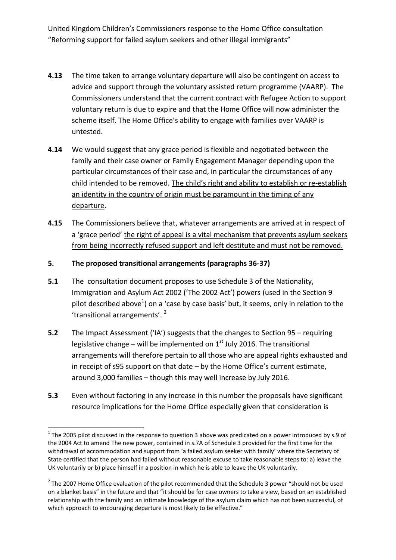- **4.13** The time taken to arrange voluntary departure will also be contingent on access to advice and support through the voluntary assisted return programme (VAARP). The Commissioners understand that the current contract with Refugee Action to support voluntary return is due to expire and that the Home Office will now administer the scheme itself. The Home Office's ability to engage with families over VAARP is untested.
- **4.14** We would suggest that any grace period is flexible and negotiated between the family and their case owner or Family Engagement Manager depending upon the particular circumstances of their case and, in particular the circumstances of any child intended to be removed. The child's right and ability to establish or re-establish an identity in the country of origin must be paramount in the timing of any departure.
- **4.15** The Commissioners believe that, whatever arrangements are arrived at in respect of a 'grace period' the right of appeal is a vital mechanism that prevents asylum seekers from being incorrectly refused support and left destitute and must not be removed.
- **5. The proposed transitional arrangements (paragraphs 36-37)**
- **5.1** The consultation document proposes to use Schedule 3 of the Nationality, Immigration and Asylum Act 2002 ('The 2002 Act') powers (used in the Section 9 pilot described above<sup>1</sup>) on a 'case by case basis' but, it seems, only in relation to the 'transitional arrangements'.<sup>2</sup>
- **5.2** The Impact Assessment ('IA') suggests that the changes to Section 95 requiring legislative change  $-$  will be implemented on  $1<sup>st</sup>$  July 2016. The transitional arrangements will therefore pertain to all those who are appeal rights exhausted and in receipt of s95 support on that date – by the Home Office's current estimate, around 3,000 families – though this may well increase by July 2016.
- **5.3** Even without factoring in any increase in this number the proposals have significant resource implications for the Home Office especially given that consideration is

**<sup>.</sup>**  $1$  The 2005 pilot discussed in the response to question 3 above was predicated on a power introduced by s.9 of the 2004 Act to amend The new power, contained in s.7A of Schedule 3 provided for the first time for the withdrawal of accommodation and support from 'a failed asylum seeker with family' where the Secretary of State certified that the person had failed without reasonable excuse to take reasonable steps to: a) leave the UK voluntarily or b) place himself in a position in which he is able to leave the UK voluntarily.

 $2$  The 2007 Home Office evaluation of the pilot recommended that the Schedule 3 power "should not be used on a blanket basis" in the future and that "it should be for case owners to take a view, based on an established relationship with the family and an intimate knowledge of the asylum claim which has not been successful, of which approach to encouraging departure is most likely to be effective."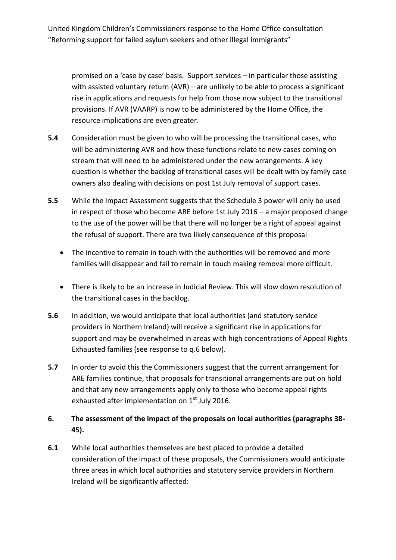promised on a 'case by case' basis. Support services – in particular those assisting with assisted voluntary return (AVR) – are unlikely to be able to process a significant rise in applications and requests for help from those now subject to the transitional provisions. If AVR (VAARP) is now to be administered by the Home Office, the resource implications are even greater.

- **5.4** Consideration must be given to who will be processing the transitional cases, who will be administering AVR and how these functions relate to new cases coming on stream that will need to be administered under the new arrangements. A key question is whether the backlog of transitional cases will be dealt with by family case owners also dealing with decisions on post 1st July removal of support cases.
- **5.5** While the Impact Assessment suggests that the Schedule 3 power will only be used in respect of those who become ARE before 1st July 2016 – a major proposed change to the use of the power will be that there will no longer be a right of appeal against the refusal of support. There are two likely consequence of this proposal
	- The incentive to remain in touch with the authorities will be removed and more families will disappear and fail to remain in touch making removal more difficult.
	- There is likely to be an increase in Judicial Review. This will slow down resolution of the transitional cases in the backlog.
- **5.6** In addition, we would anticipate that local authorities (and statutory service providers in Northern Ireland) will receive a significant rise in applications for support and may be overwhelmed in areas with high concentrations of Appeal Rights Exhausted families (see response to q.6 below).
- **5.7** In order to avoid this the Commissioners suggest that the current arrangement for ARE families continue, that proposals for transitional arrangements are put on hold and that any new arrangements apply only to those who become appeal rights exhausted after implementation on  $1<sup>st</sup>$  July 2016.
- **6. The assessment of the impact of the proposals on local authorities (paragraphs 38- 45).**
- **6.1** While local authorities themselves are best placed to provide a detailed consideration of the impact of these proposals, the Commissioners would anticipate three areas in which local authorities and statutory service providers in Northern Ireland will be significantly affected: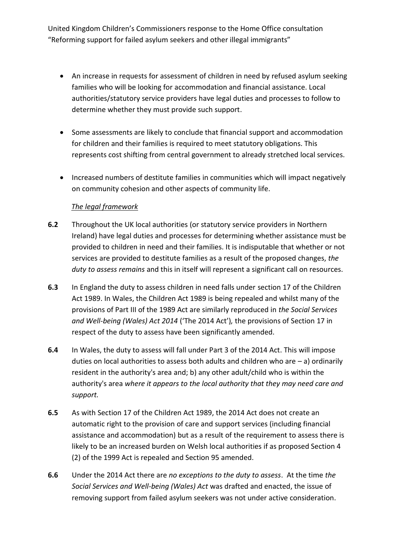- An increase in requests for assessment of children in need by refused asylum seeking families who will be looking for accommodation and financial assistance. Local authorities/statutory service providers have legal duties and processes to follow to determine whether they must provide such support.
- Some assessments are likely to conclude that financial support and accommodation for children and their families is required to meet statutory obligations. This represents cost shifting from central government to already stretched local services.
- Increased numbers of destitute families in communities which will impact negatively on community cohesion and other aspects of community life.

## *The legal framework*

- **6.2** Throughout the UK local authorities (or statutory service providers in Northern Ireland) have legal duties and processes for determining whether assistance must be provided to children in need and their families. It is indisputable that whether or not services are provided to destitute families as a result of the proposed changes, *the duty to assess remains* and this in itself will represent a significant call on resources.
- **6.3** In England the duty to assess children in need falls under section 17 of the Children Act 1989. In Wales, the Children Act 1989 is being repealed and whilst many of the provisions of Part III of the 1989 Act are similarly reproduced in *the Social Services and Well-being (Wales) Act 2014* ('The 2014 Act')*,* the provisions of Section 17 in respect of the duty to assess have been significantly amended.
- **6.4** In Wales, the duty to assess will fall under Part 3 of the 2014 Act. This will impose duties on local authorities to assess both adults and children who are  $-$  a) ordinarily resident in the authority's area and; b) any other adult/child who is within the authority's area *where it appears to the local authority that they may need care and support.*
- **6.5** As with Section 17 of the Children Act 1989, the 2014 Act does not create an automatic right to the provision of care and support services (including financial assistance and accommodation) but as a result of the requirement to assess there is likely to be an increased burden on Welsh local authorities if as proposed Section 4 (2) of the 1999 Act is repealed and Section 95 amended.
- **6.6** Under the 2014 Act there are *no exceptions to the duty to assess*. At the time *the Social Services and Well-being (Wales) Act* was drafted and enacted, the issue of removing support from failed asylum seekers was not under active consideration.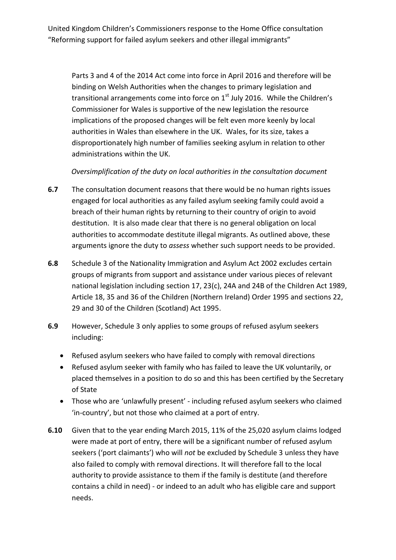Parts 3 and 4 of the 2014 Act come into force in April 2016 and therefore will be binding on Welsh Authorities when the changes to primary legislation and transitional arrangements come into force on  $1<sup>st</sup>$  July 2016. While the Children's Commissioner for Wales is supportive of the new legislation the resource implications of the proposed changes will be felt even more keenly by local authorities in Wales than elsewhere in the UK. Wales, for its size, takes a disproportionately high number of families seeking asylum in relation to other administrations within the UK.

## *Oversimplification of the duty on local authorities in the consultation document*

- **6.7** The consultation document reasons that there would be no human rights issues engaged for local authorities as any failed asylum seeking family could avoid a breach of their human rights by returning to their country of origin to avoid destitution. It is also made clear that there is no general obligation on local authorities to accommodate destitute illegal migrants. As outlined above, these arguments ignore the duty to *assess* whether such support needs to be provided.
- **6.8** Schedule 3 of the Nationality Immigration and Asylum Act 2002 excludes certain groups of migrants from support and assistance under various pieces of relevant national legislation including section 17, 23(c), 24A and 24B of the Children Act 1989, Article 18, 35 and 36 of the Children (Northern Ireland) Order 1995 and sections 22, 29 and 30 of the Children (Scotland) Act 1995.
- **6.9** However, Schedule 3 only applies to some groups of refused asylum seekers including:
	- Refused asylum seekers who have failed to comply with removal directions
	- Refused asylum seeker with family who has failed to leave the UK voluntarily, or placed themselves in a position to do so and this has been certified by the Secretary of State
	- Those who are 'unlawfully present' including refused asylum seekers who claimed 'in-country', but not those who claimed at a port of entry.
- **6.10** Given that to the year ending March 2015, 11% of the 25,020 asylum claims lodged were made at port of entry, there will be a significant number of refused asylum seekers ('port claimants') who will *not* be excluded by Schedule 3 unless they have also failed to comply with removal directions. It will therefore fall to the local authority to provide assistance to them if the family is destitute (and therefore contains a child in need) - or indeed to an adult who has eligible care and support needs.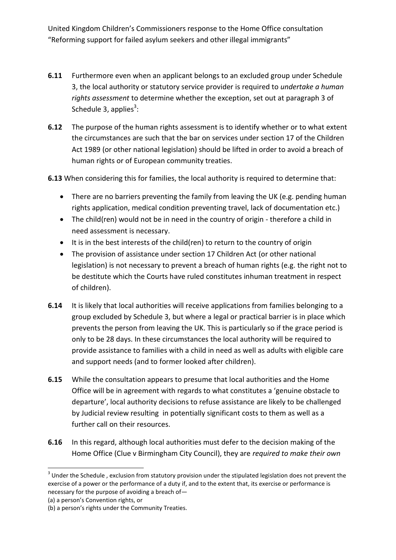- **6.11** Furthermore even when an applicant belongs to an excluded group under Schedule 3, the local authority or statutory service provider is required to *undertake a human rights assessment* to determine whether the exception, set out at paragraph 3 of Schedule 3, applies $^3$ :
- **6.12** The purpose of the human rights assessment is to identify whether or to what extent the circumstances are such that the bar on services under section 17 of the Children Act 1989 (or other national legislation) should be lifted in order to avoid a breach of human rights or of European community treaties.
- **6.13** When considering this for families, the local authority is required to determine that:
	- There are no barriers preventing the family from leaving the UK (e.g. pending human rights application, medical condition preventing travel, lack of documentation etc.)
	- The child(ren) would not be in need in the country of origin therefore a child in need assessment is necessary.
	- It is in the best interests of the child(ren) to return to the country of origin
	- The provision of assistance under section 17 Children Act (or other national legislation) is not necessary to prevent a breach of human rights (e.g. the right not to be destitute which the Courts have ruled constitutes inhuman treatment in respect of children).
- **6.14** It is likely that local authorities will receive applications from families belonging to a group excluded by Schedule 3, but where a legal or practical barrier is in place which prevents the person from leaving the UK. This is particularly so if the grace period is only to be 28 days. In these circumstances the local authority will be required to provide assistance to families with a child in need as well as adults with eligible care and support needs (and to former looked after children).
- **6.15** While the consultation appears to presume that local authorities and the Home Office will be in agreement with regards to what constitutes a 'genuine obstacle to departure', local authority decisions to refuse assistance are likely to be challenged by Judicial review resulting in potentially significant costs to them as well as a further call on their resources.
- **6.16** In this regard, although local authorities must defer to the decision making of the Home Office (Clue v Birmingham City Council), they are *required to make their own*

 $\overline{a}$ 

 $3$  Under the Schedule , exclusion from statutory provision under the stipulated legislation does not prevent the exercise of a power or the performance of a duty if, and to the extent that, its exercise or performance is necessary for the purpose of avoiding a breach of—

<sup>(</sup>a) a person's Convention rights, or

<sup>(</sup>b) a person's rights under the Community Treaties.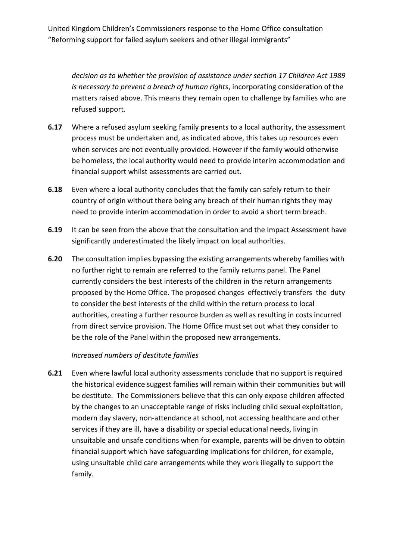*decision as to whether the provision of assistance under section 17 Children Act 1989 is necessary to prevent a breach of human rights*, incorporating consideration of the matters raised above. This means they remain open to challenge by families who are refused support.

- **6.17** Where a refused asylum seeking family presents to a local authority, the assessment process must be undertaken and, as indicated above, this takes up resources even when services are not eventually provided. However if the family would otherwise be homeless, the local authority would need to provide interim accommodation and financial support whilst assessments are carried out.
- **6.18** Even where a local authority concludes that the family can safely return to their country of origin without there being any breach of their human rights they may need to provide interim accommodation in order to avoid a short term breach.
- **6.19** It can be seen from the above that the consultation and the Impact Assessment have significantly underestimated the likely impact on local authorities.
- **6.20** The consultation implies bypassing the existing arrangements whereby families with no further right to remain are referred to the family returns panel. The Panel currently considers the best interests of the children in the return arrangements proposed by the Home Office. The proposed changes effectively transfers the duty to consider the best interests of the child within the return process to local authorities, creating a further resource burden as well as resulting in costs incurred from direct service provision. The Home Office must set out what they consider to be the role of the Panel within the proposed new arrangements.

#### *Increased numbers of destitute families*

**6.21** Even where lawful local authority assessments conclude that no support is required the historical evidence suggest families will remain within their communities but will be destitute. The Commissioners believe that this can only expose children affected by the changes to an unacceptable range of risks including child sexual exploitation, modern day slavery, non-attendance at school, not accessing healthcare and other services if they are ill, have a disability or special educational needs, living in unsuitable and unsafe conditions when for example, parents will be driven to obtain financial support which have safeguarding implications for children, for example, using unsuitable child care arrangements while they work illegally to support the family.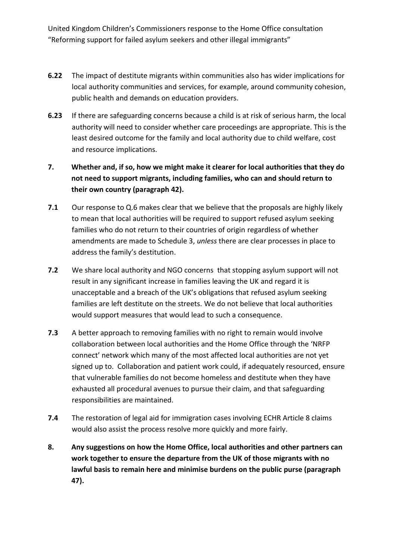- **6.22** The impact of destitute migrants within communities also has wider implications for local authority communities and services, for example, around community cohesion, public health and demands on education providers.
- **6.23** If there are safeguarding concerns because a child is at risk of serious harm, the local authority will need to consider whether care proceedings are appropriate. This is the least desired outcome for the family and local authority due to child welfare, cost and resource implications.
- **7. Whether and, if so, how we might make it clearer for local authorities that they do not need to support migrants, including families, who can and should return to their own country (paragraph 42).**
- **7.1** Our response to Q.6 makes clear that we believe that the proposals are highly likely to mean that local authorities will be required to support refused asylum seeking families who do not return to their countries of origin regardless of whether amendments are made to Schedule 3, *unless* there are clear processes in place to address the family's destitution.
- **7.2** We share local authority and NGO concerns that stopping asylum support will not result in any significant increase in families leaving the UK and regard it is unacceptable and a breach of the UK's obligations that refused asylum seeking families are left destitute on the streets. We do not believe that local authorities would support measures that would lead to such a consequence.
- **7.3** A better approach to removing families with no right to remain would involve collaboration between local authorities and the Home Office through the 'NRFP connect' network which many of the most affected local authorities are not yet signed up to. Collaboration and patient work could, if adequately resourced, ensure that vulnerable families do not become homeless and destitute when they have exhausted all procedural avenues to pursue their claim, and that safeguarding responsibilities are maintained.
- **7.4** The restoration of legal aid for immigration cases involving ECHR Article 8 claims would also assist the process resolve more quickly and more fairly.
- **8. Any suggestions on how the Home Office, local authorities and other partners can work together to ensure the departure from the UK of those migrants with no lawful basis to remain here and minimise burdens on the public purse (paragraph 47).**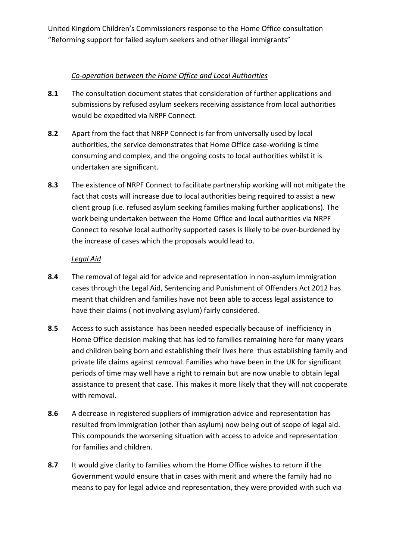## *Co-operation between the Home Office and Local Authorities*

- **8.1** The consultation document states that consideration of further applications and submissions by refused asylum seekers receiving assistance from local authorities would be expedited via NRPF Connect.
- **8.2** Apart from the fact that NRFP Connect is far from universally used by local authorities, the service demonstrates that Home Office case-working is time consuming and complex, and the ongoing costs to local authorities whilst it is undertaken are significant.
- **8.3** The existence of NRPF Connect to facilitate partnership working will not mitigate the fact that costs will increase due to local authorities being required to assist a new client group (i.e. refused asylum seeking families making further applications). The work being undertaken between the Home Office and local authorities via NRPF Connect to resolve local authority supported cases is likely to be over-burdened by the increase of cases which the proposals would lead to.

#### *Legal Aid*

- **8.4** The removal of legal aid for advice and representation in non-asylum immigration cases through the Legal Aid, Sentencing and Punishment of Offenders Act 2012 has meant that children and families have not been able to access legal assistance to have their claims ( not involving asylum) fairly considered.
- **8.5** Access to such assistance has been needed especially because of inefficiency in Home Office decision making that has led to families remaining here for many years and children being born and establishing their lives here thus establishing family and private life claims against removal. Families who have been in the UK for significant periods of time may well have a right to remain but are now unable to obtain legal assistance to present that case. This makes it more likely that they will not cooperate with removal.
- **8.6** A decrease in registered suppliers of immigration advice and representation has resulted from immigration (other than asylum) now being out of scope of legal aid. This compounds the worsening situation with access to advice and representation for families and children.
- **8.7** It would give clarity to families whom the Home Office wishes to return if the Government would ensure that in cases with merit and where the family had no means to pay for legal advice and representation, they were provided with such via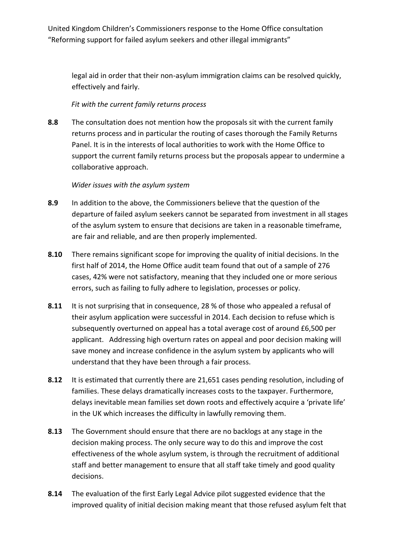legal aid in order that their non-asylum immigration claims can be resolved quickly, effectively and fairly.

## *Fit with the current family returns process*

**8.8** The consultation does not mention how the proposals sit with the current family returns process and in particular the routing of cases thorough the Family Returns Panel. It is in the interests of local authorities to work with the Home Office to support the current family returns process but the proposals appear to undermine a collaborative approach.

#### *Wider issues with the asylum system*

- **8.9** In addition to the above, the Commissioners believe that the question of the departure of failed asylum seekers cannot be separated from investment in all stages of the asylum system to ensure that decisions are taken in a reasonable timeframe, are fair and reliable, and are then properly implemented.
- **8.10** There remains significant scope for improving the quality of initial decisions. In the first half of 2014, the Home Office audit team found that out of a sample of 276 cases, 42% were not satisfactory, meaning that they included one or more serious errors, such as failing to fully adhere to legislation, processes or policy.
- **8.11** It is not surprising that in consequence, 28 % of those who appealed a refusal of their asylum application were successful in 2014. Each decision to refuse which is subsequently overturned on appeal has a total average cost of around £6,500 per applicant. Addressing high overturn rates on appeal and poor decision making will save money and increase confidence in the asylum system by applicants who will understand that they have been through a fair process.
- **8.12** It is estimated that currently there are 21,651 cases pending resolution, including of families. These delays dramatically increases costs to the taxpayer. Furthermore, delays inevitable mean families set down roots and effectively acquire a 'private life' in the UK which increases the difficulty in lawfully removing them.
- **8.13** The Government should ensure that there are no backlogs at any stage in the decision making process. The only secure way to do this and improve the cost effectiveness of the whole asylum system, is through the recruitment of additional staff and better management to ensure that all staff take timely and good quality decisions.
- **8.14** The evaluation of the first Early Legal Advice pilot suggested evidence that the improved quality of initial decision making meant that those refused asylum felt that